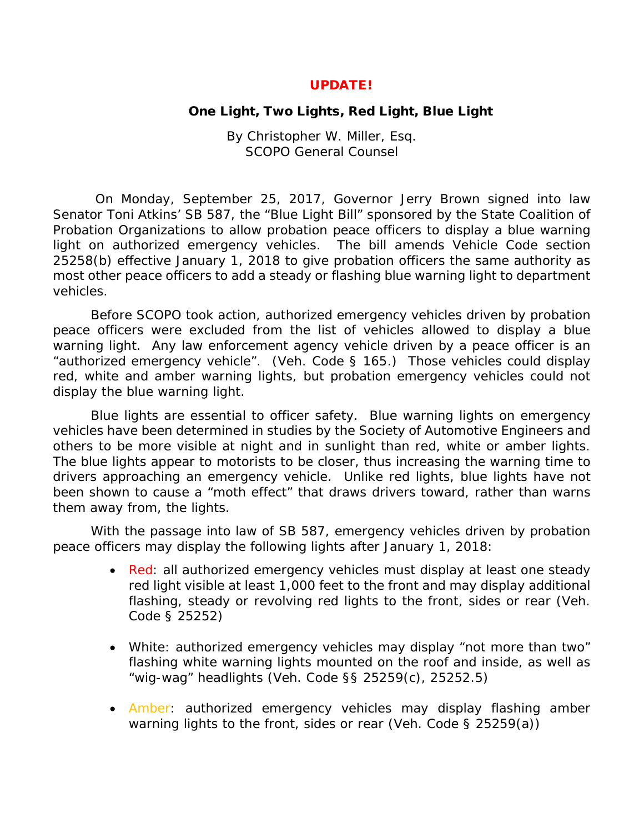## UPDATE!

## One Light, Two Lights, Red Light, Blue Light

By Christopher W. Miller, Esq. SCOPO General Counsel

On Monday, September 25, 2017, Governor Jerry Brown signed into law Senator Toni Atkins' SB 587, the "Blue Light Bill" sponsored by the State Coalition of Probation Organizations to allow probation peace officers to display a blue warning light on authorized emergency vehicles. The bill amends Vehicle Code section 25258(b) effective January 1, 2018 to give probation officers the same authority as most other peace officers to add a steady or flashing blue warning light to department vehicles.

Before SCOPO took action, authorized emergency vehicles driven by probation peace officers were excluded from the list of vehicles allowed to display a blue warning light. Any law enforcement agency vehicle driven by a peace officer is an "authorized emergency vehicle". (Veh. Code § 165.) Those vehicles could display red, white and amber warning lights, but probation emergency vehicles could not display the blue warning light.

Blue lights are essential to officer safety. Blue warning lights on emergency vehicles have been determined in studies by the Society of Automotive Engineers and others to be more visible at night and in sunlight than red, white or amber lights. The blue lights appear to motorists to be closer, thus increasing the warning time to drivers approaching an emergency vehicle. Unlike red lights, blue lights have not been shown to cause a "moth effect" that draws drivers toward, rather than warns them away from, the lights.

With the passage into law of SB 587, emergency vehicles driven by probation peace officers may display the following lights after January 1, 2018:

- Red: all authorized emergency vehicles *must* display at least one steady red light visible at least 1,000 feet to the front and *may* display additional flashing, steady or revolving red lights to the front, sides or rear (Veh. Code § 25252)
- White: authorized emergency vehicles may display "not more than two" flashing white warning lights mounted on the roof and inside, as well as "wig-wag" headlights (Veh. Code §§ 25259(c), 25252.5)
- Amber: authorized emergency vehicles may display flashing amber warning lights to the front, sides or rear (Veh. Code § 25259(a))